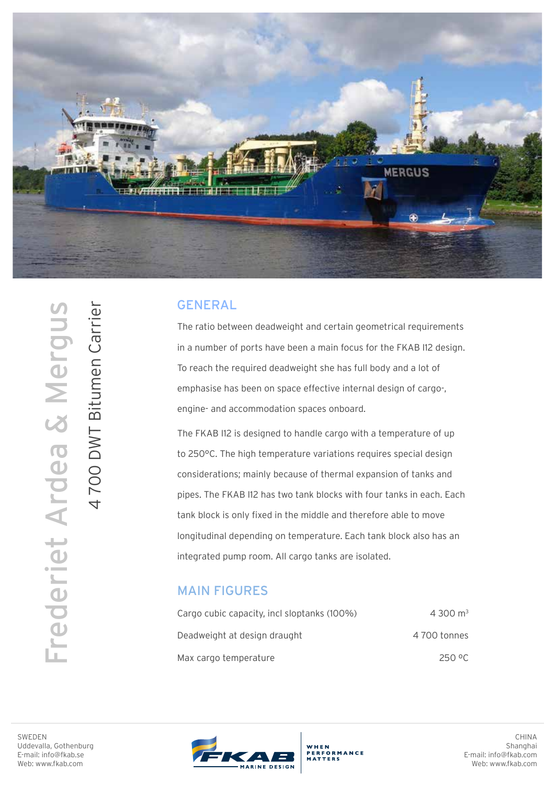

## GENERAL

The ratio between deadweight and certain geometrical requirements in a number of ports have been a main focus for the FKAB I12 design. To reach the required deadweight she has full body and a lot of emphasise has been on space effective internal design of cargo-, engine- and accommodation spaces onboard.

The FKAB I12 is designed to handle cargo with a temperature of up to 250°C. The high temperature variations requires special design considerations; mainly because of thermal expansion of tanks and pipes. The FKAB I12 has two tank blocks with four tanks in each. Each tank block is only fixed in the middle and therefore able to move longitudinal depending on temperature. Each tank block also has an integrated pump room. All cargo tanks are isolated.

## MAIN FIGURES

| Cargo cubic capacity, incl sloptanks (100%) | 4 300 $m3$  |
|---------------------------------------------|-------------|
| Deadweight at design draught                | 4700 tonnes |
| Max cargo temperature                       | 250 °C      |

Frederiet Ardea & Mergus 4700 DWT Bitumen Carrier Frederiet Ardea & Mergus

4 700 DWT Bitumen Carrier